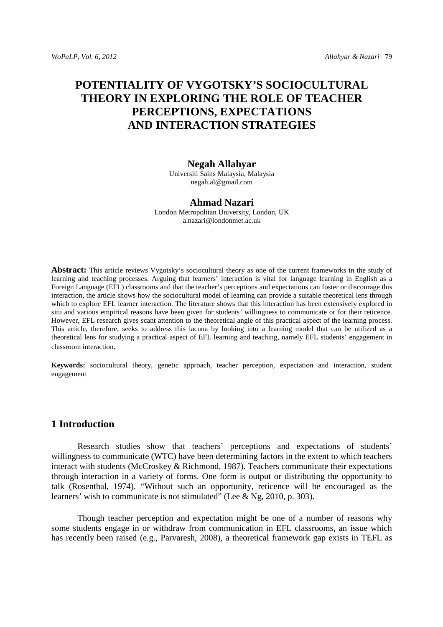# **POTENTIALITY OF VYGOTSKY'S SOCIOCULTURAL THEORY IN EXPLORING THE ROLE OF TEACHER PERCEPTIONS, EXPECTATIONS AND INTERACTION STRATEGIES**

## **Negah Allahyar**

Universiti Sains Malaysia, Malaysia negah.al@gmail.com

#### **Ahmad Nazari**

London Metropolitan University, London, UK a.nazari@londonmet.ac.uk

**Abstract:** This article reviews Vygotsky's sociocultural theory as one of the current frameworks in the study of learning and teaching processes. Arguing that learners' interaction is vital for language learning in English as a Foreign Language (EFL) classrooms and that the teacher's perceptions and expectations can foster or discourage this interaction, the article shows how the sociocultural model of learning can provide a suitable theoretical lens through which to explore EFL learner interaction. The literature shows that this interaction has been extensively explored in situ and various empirical reasons have been given for students' willingness to communicate or for their reticence. However, EFL research gives scant attention to the theoretical angle of this practical aspect of the learning process. This article, therefore, seeks to address this lacuna by looking into a learning model that can be utilized as a theoretical lens for studying a practical aspect of EFL learning and teaching, namely EFL students' engagement in classroom interaction.

**Keywords:** sociocultural theory, genetic approach, teacher perception, expectation and interaction, student engagement

# **1 Introduction**

Research studies show that teachers' perceptions and expectations of students' willingness to communicate (WTC) have been determining factors in the extent to which teachers interact with students (McCroskey & Richmond, 1987). Teachers communicate their expectations through interaction in a variety of forms. One form is output or distributing the opportunity to talk (Rosenthal, 1974). "Without such an opportunity, reticence will be encouraged as the learners' wish to communicate is not stimulated" (Lee & Ng, 2010, p. 303).

 Though teacher perception and expectation might be one of a number of reasons why some students engage in or withdraw from communication in EFL classrooms, an issue which has recently been raised (e.g., Parvaresh, 2008), a theoretical framework gap exists in TEFL as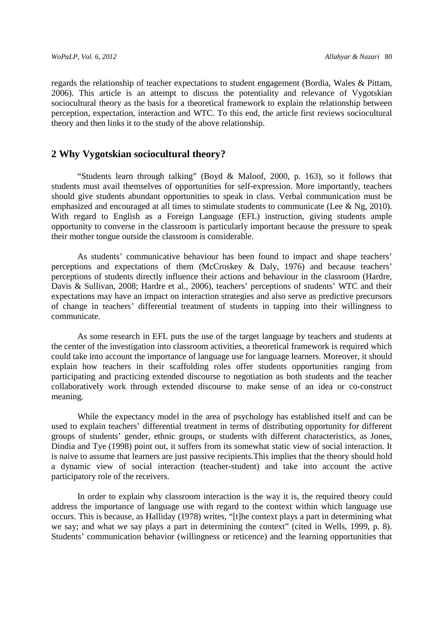regards the relationship of teacher expectations to student engagement (Bordia, Wales & Pittam, 2006). This article is an attempt to discuss the potentiality and relevance of Vygotskian sociocultural theory as the basis for a theoretical framework to explain the relationship between perception, expectation, interaction and WTC. To this end, the article first reviews sociocultural theory and then links it to the study of the above relationship.

# **2 Why Vygotskian sociocultural theory?**

"Students learn through talking" (Boyd & Maloof, 2000, p. 163), so it follows that students must avail themselves of opportunities for self-expression. More importantly, teachers should give students abundant opportunities to speak in class. Verbal communication must be emphasized and encouraged at all times to stimulate students to communicate (Lee & Ng, 2010). With regard to English as a Foreign Language (EFL) instruction, giving students ample opportunity to converse in the classroom is particularly important because the pressure to speak their mother tongue outside the classroom is considerable.

As students' communicative behaviour has been found to impact and shape teachers' perceptions and expectations of them (McCroskey & Daly, 1976) and because teachers' perceptions of students directly influence their actions and behaviour in the classroom (Hardre, Davis & Sullivan, 2008; Hardre et al., 2006), teachers' perceptions of students' WTC and their expectations may have an impact on interaction strategies and also serve as predictive precursors of change in teachers' differential treatment of students in tapping into their willingness to communicate.

As some research in EFL puts the use of the target language by teachers and students at the center of the investigation into classroom activities, a theoretical framework is required which could take into account the importance of language use for language learners. Moreover, it should explain how teachers in their scaffolding roles offer students opportunities ranging from participating and practicing extended discourse to negotiation as both students and the teacher collaboratively work through extended discourse to make sense of an idea or co-construct meaning.

While the expectancy model in the area of psychology has established itself and can be used to explain teachers' differential treatment in terms of distributing opportunity for different groups of students' gender, ethnic groups, or students with different characteristics, as Jones, Dindia and Tye (1998) point out, it suffers from its somewhat static view of social interaction. It is naive to assume that learners are just passive recipients.This implies that the theory should hold a dynamic view of social interaction (teacher-student) and take into account the active participatory role of the receivers.

In order to explain why classroom interaction is the way it is, the required theory could address the importance of language use with regard to the context within which language use occurs. This is because, as Halliday (1978) writes, "[t]he context plays a part in determining what we say; and what we say plays a part in determining the context" (cited in Wells, 1999, p. 8). Students' communication behavior (willingness or reticence) and the learning opportunities that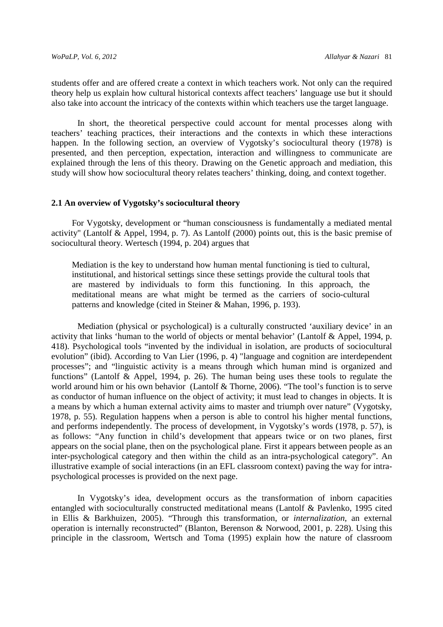students offer and are offered create a context in which teachers work. Not only can the required theory help us explain how cultural historical contexts affect teachers' language use but it should also take into account the intricacy of the contexts within which teachers use the target language.

In short, the theoretical perspective could account for mental processes along with teachers' teaching practices, their interactions and the contexts in which these interactions happen. In the following section, an overview of Vygotsky's sociocultural theory (1978) is presented, and then perception, expectation, interaction and willingness to communicate are explained through the lens of this theory. Drawing on the Genetic approach and mediation, this study will show how sociocultural theory relates teachers' thinking, doing, and context together.

## **2.1 An overview of Vygotsky's sociocultural theory**

For Vygotsky, development or "human consciousness is fundamentally a mediated mental activity" (Lantolf & Appel, 1994, p. 7). As Lantolf (2000) points out, this is the basic premise of sociocultural theory. Wertesch (1994, p. 204) argues that

Mediation is the key to understand how human mental functioning is tied to cultural, institutional, and historical settings since these settings provide the cultural tools that are mastered by individuals to form this functioning. In this approach, the meditational means are what might be termed as the carriers of socio-cultural patterns and knowledge (cited in Steiner & Mahan, 1996, p. 193).

Mediation (physical or psychological) is a culturally constructed 'auxiliary device' in an activity that links 'human to the world of objects or mental behavior' (Lantolf & Appel, 1994, p. 418). Psychological tools "invented by the individual in isolation, are products of sociocultural evolution" (ibid). According to Van Lier (1996, p. 4) "language and cognition are interdependent processes"; and "linguistic activity is a means through which human mind is organized and functions" (Lantolf & Appel, 1994, p. 26). The human being uses these tools to regulate the world around him or his own behavior (Lantolf & Thorne, 2006). "The tool's function is to serve as conductor of human influence on the object of activity; it must lead to changes in objects. It is a means by which a human external activity aims to master and triumph over nature" (Vygotsky, 1978, p. 55). Regulation happens when a person is able to control his higher mental functions, and performs independently. The process of development, in Vygotsky's words (1978, p. 57), is as follows: "Any function in child's development that appears twice or on two planes, first appears on the social plane, then on the psychological plane. First it appears between people as an inter-psychological category and then within the child as an intra-psychological category". An illustrative example of social interactions (in an EFL classroom context) paving the way for intrapsychological processes is provided on the next page.

In Vygotsky's idea, development occurs as the transformation of inborn capacities entangled with socioculturally constructed meditational means (Lantolf & Pavlenko, 1995 cited in Ellis & Barkhuizen, 2005). "Through this transformation, or *internalization*, an external operation is internally reconstructed" (Blanton, Berenson & Norwood, 2001, p. 228). Using this principle in the classroom, Wertsch and Toma (1995) explain how the nature of classroom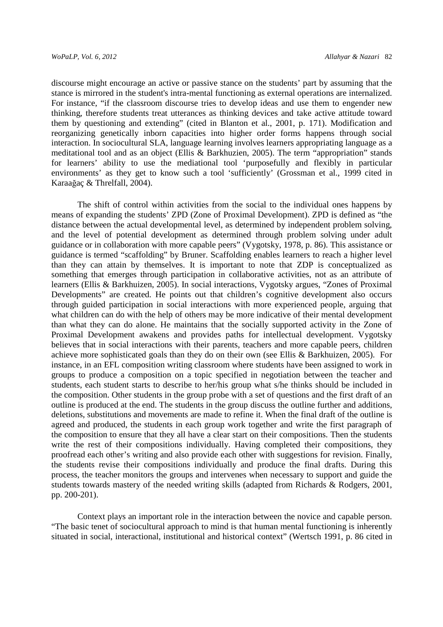discourse might encourage an active or passive stance on the students' part by assuming that the stance is mirrored in the student's intra-mental functioning as external operations are internalized. For instance, "if the classroom discourse tries to develop ideas and use them to engender new thinking, therefore students treat utterances as thinking devices and take active attitude toward them by questioning and extending" (cited in Blanton et al., 2001, p. 171). Modification and reorganizing genetically inborn capacities into higher order forms happens through social interaction. In sociocultural SLA, language learning involves learners appropriating language as a meditational tool and as an object (Ellis & Barkhuzien, 2005). The term "appropriation" stands for learners' ability to use the mediational tool 'purposefully and flexibly in particular environments' as they get to know such a tool 'sufficiently' (Grossman et al., 1999 cited in Karaağaç & Threlfall, 2004).

The shift of control within activities from the social to the individual ones happens by means of expanding the students' ZPD (Zone of Proximal Development). ZPD is defined as "the distance between the actual developmental level, as determined by independent problem solving, and the level of potential development as determined through problem solving under adult guidance or in collaboration with more capable peers" (Vygotsky, 1978, p. 86). This assistance or guidance is termed "scaffolding" by Bruner. Scaffolding enables learners to reach a higher level than they can attain by themselves. It is important to note that ZDP is conceptualized as something that emerges through participation in collaborative activities, not as an attribute of learners (Ellis & Barkhuizen, 2005). In social interactions, Vygotsky argues, "Zones of Proximal Developments" are created. He points out that children's cognitive development also occurs through guided participation in social interactions with more experienced people, arguing that what children can do with the help of others may be more indicative of their mental development than what they can do alone. He maintains that the socially supported activity in the Zone of Proximal Development awakens and provides paths for intellectual development. Vygotsky believes that in social interactions with their parents, teachers and more capable peers, children achieve more sophisticated goals than they do on their own (see Ellis & Barkhuizen, 2005). For instance, in an EFL composition writing classroom where students have been assigned to work in groups to produce a composition on a topic specified in negotiation between the teacher and students, each student starts to describe to her/his group what s/he thinks should be included in the composition. Other students in the group probe with a set of questions and the first draft of an outline is produced at the end. The students in the group discuss the outline further and additions, deletions, substitutions and movements are made to refine it. When the final draft of the outline is agreed and produced, the students in each group work together and write the first paragraph of the composition to ensure that they all have a clear start on their compositions. Then the students write the rest of their compositions individually. Having completed their compositions, they proofread each other's writing and also provide each other with suggestions for revision. Finally, the students revise their compositions individually and produce the final drafts. During this process, the teacher monitors the groups and intervenes when necessary to support and guide the students towards mastery of the needed writing skills (adapted from Richards & Rodgers, 2001, pp. 200-201).

Context plays an important role in the interaction between the novice and capable person. "The basic tenet of sociocultural approach to mind is that human mental functioning is inherently situated in social, interactional, institutional and historical context" (Wertsch 1991, p. 86 cited in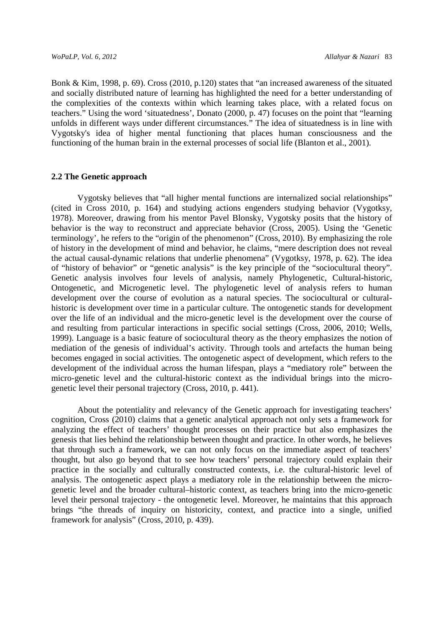Bonk & Kim, 1998, p. 69). Cross (2010, p.120) states that "an increased awareness of the situated and socially distributed nature of learning has highlighted the need for a better understanding of the complexities of the contexts within which learning takes place, with a related focus on teachers." Using the word 'situatedness', Donato (2000, p. 47) focuses on the point that "learning unfolds in different ways under different circumstances." The idea of situatedness is in line with Vygotsky's idea of higher mental functioning that places human consciousness and the functioning of the human brain in the external processes of social life (Blanton et al., 2001).

## **2.2 The Genetic approach**

Vygotsky believes that "all higher mental functions are internalized social relationships" (cited in Cross 2010, p. 164) and studying actions engenders studying behavior (Vygotksy, 1978). Moreover, drawing from his mentor Pavel Blonsky, Vygotsky posits that the history of behavior is the way to reconstruct and appreciate behavior (Cross, 2005). Using the 'Genetic terminology', he refers to the "origin of the phenomenon" (Cross, 2010). By emphasizing the role of history in the development of mind and behavior, he claims, "mere description does not reveal the actual causal-dynamic relations that underlie phenomena" (Vygotksy, 1978, p. 62). The idea of "history of behavior" or "genetic analysis" is the key principle of the "sociocultural theory". Genetic analysis involves four levels of analysis, namely Phylogenetic, Cultural-historic, Ontogenetic, and Microgenetic level. The phylogenetic level of analysis refers to human development over the course of evolution as a natural species. The sociocultural or culturalhistoric is development over time in a particular culture. The ontogenetic stands for development over the life of an individual and the micro-genetic level is the development over the course of and resulting from particular interactions in specific social settings (Cross, 2006, 2010; Wells, 1999). Language is a basic feature of sociocultural theory as the theory emphasizes the notion of mediation of the genesis of individual's activity. Through tools and artefacts the human being becomes engaged in social activities. The ontogenetic aspect of development, which refers to the development of the individual across the human lifespan, plays a "mediatory role" between the micro-genetic level and the cultural-historic context as the individual brings into the microgenetic level their personal trajectory (Cross, 2010, p. 441).

About the potentiality and relevancy of the Genetic approach for investigating teachers' cognition, Cross (2010) claims that a genetic analytical approach not only sets a framework for analyzing the effect of teachers' thought processes on their practice but also emphasizes the genesis that lies behind the relationship between thought and practice. In other words, he believes that through such a framework, we can not only focus on the immediate aspect of teachers' thought, but also go beyond that to see how teachers' personal trajectory could explain their practice in the socially and culturally constructed contexts, i.e. the cultural-historic level of analysis. The ontogenetic aspect plays a mediatory role in the relationship between the microgenetic level and the broader cultural–historic context, as teachers bring into the micro-genetic level their personal trajectory - the ontogenetic level. Moreover, he maintains that this approach brings "the threads of inquiry on historicity, context, and practice into a single, unified framework for analysis" (Cross, 2010, p. 439).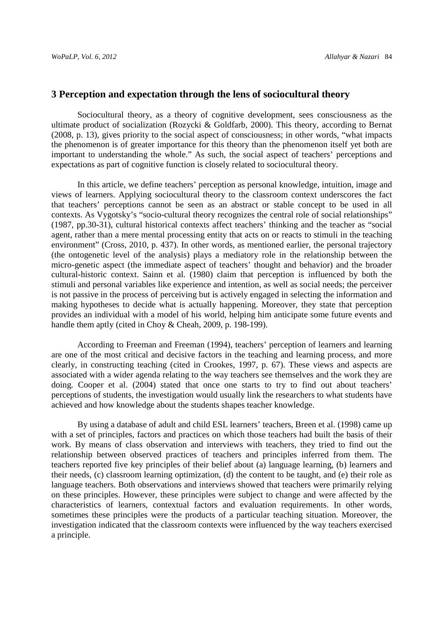# **3 Perception and expectation through the lens of sociocultural theory**

Sociocultural theory, as a theory of cognitive development, sees consciousness as the ultimate product of socialization (Rozycki & Goldfarb, 2000). This theory, according to Bernat (2008, p. 13), gives priority to the social aspect of consciousness; in other words, "what impacts the phenomenon is of greater importance for this theory than the phenomenon itself yet both are important to understanding the whole." As such, the social aspect of teachers' perceptions and expectations as part of cognitive function is closely related to sociocultural theory.

In this article, we define teachers' perception as personal knowledge, intuition, image and views of learners. Applying sociocultural theory to the classroom context underscores the fact that teachers' perceptions cannot be seen as an abstract or stable concept to be used in all contexts. As Vygotsky's "socio-cultural theory recognizes the central role of social relationships" (1987, pp.30-31), cultural historical contexts affect teachers' thinking and the teacher as "social agent, rather than a mere mental processing entity that acts on or reacts to stimuli in the teaching environment" (Cross, 2010, p. 437). In other words, as mentioned earlier, the personal trajectory (the ontogenetic level of the analysis) plays a mediatory role in the relationship between the micro-genetic aspect (the immediate aspect of teachers' thought and behavior) and the broader cultural-historic context. Sainn et al. (1980) claim that perception is influenced by both the stimuli and personal variables like experience and intention, as well as social needs; the perceiver is not passive in the process of perceiving but is actively engaged in selecting the information and making hypotheses to decide what is actually happening. Moreover, they state that perception provides an individual with a model of his world, helping him anticipate some future events and handle them aptly (cited in Choy & Cheah, 2009, p. 198-199).

According to Freeman and Freeman (1994), teachers' perception of learners and learning are one of the most critical and decisive factors in the teaching and learning process, and more clearly, in constructing teaching (cited in Crookes, 1997, p. 67). These views and aspects are associated with a wider agenda relating to the way teachers see themselves and the work they are doing. Cooper et al. (2004) stated that once one starts to try to find out about teachers' perceptions of students, the investigation would usually link the researchers to what students have achieved and how knowledge about the students shapes teacher knowledge.

 By using a database of adult and child ESL learners' teachers, Breen et al. (1998) came up with a set of principles, factors and practices on which those teachers had built the basis of their work. By means of class observation and interviews with teachers, they tried to find out the relationship between observed practices of teachers and principles inferred from them. The teachers reported five key principles of their belief about (a) language learning, (b) learners and their needs, (c) classroom learning optimization, (d) the content to be taught, and (e) their role as language teachers. Both observations and interviews showed that teachers were primarily relying on these principles. However, these principles were subject to change and were affected by the characteristics of learners, contextual factors and evaluation requirements. In other words, sometimes these principles were the products of a particular teaching situation. Moreover, the investigation indicated that the classroom contexts were influenced by the way teachers exercised a principle.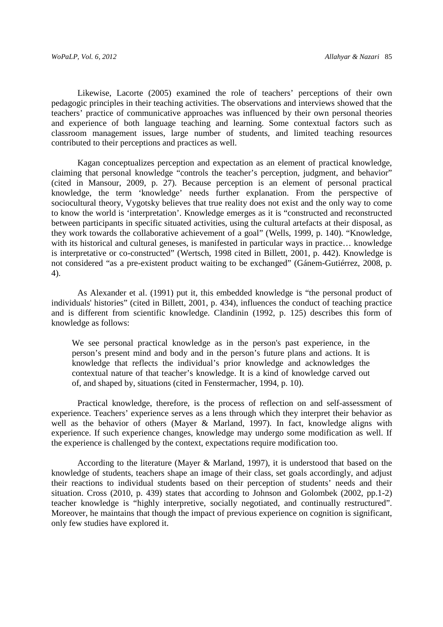Likewise, Lacorte (2005) examined the role of teachers' perceptions of their own pedagogic principles in their teaching activities. The observations and interviews showed that the teachers' practice of communicative approaches was influenced by their own personal theories and experience of both language teaching and learning. Some contextual factors such as classroom management issues, large number of students, and limited teaching resources contributed to their perceptions and practices as well.

Kagan conceptualizes perception and expectation as an element of practical knowledge, claiming that personal knowledge "controls the teacher's perception, judgment, and behavior" (cited in Mansour, 2009, p. 27). Because perception is an element of personal practical knowledge, the term 'knowledge' needs further explanation. From the perspective of sociocultural theory, Vygotsky believes that true reality does not exist and the only way to come to know the world is 'interpretation'. Knowledge emerges as it is "constructed and reconstructed between participants in specific situated activities, using the cultural artefacts at their disposal, as they work towards the collaborative achievement of a goal" (Wells, 1999, p. 140). "Knowledge, with its historical and cultural geneses, is manifested in particular ways in practice... knowledge is interpretative or co-constructed" (Wertsch, 1998 cited in Billett, 2001, p. 442). Knowledge is not considered "as a pre-existent product waiting to be exchanged" (Gánem-Gutiérrez, 2008, p. 4).

As Alexander et al. (1991) put it, this embedded knowledge is "the personal product of individuals' histories" (cited in Billett, 2001, p. 434), influences the conduct of teaching practice and is different from scientific knowledge. Clandinin (1992, p. 125) describes this form of knowledge as follows:

We see personal practical knowledge as in the person's past experience, in the person's present mind and body and in the person's future plans and actions. It is knowledge that reflects the individual's prior knowledge and acknowledges the contextual nature of that teacher's knowledge. It is a kind of knowledge carved out of, and shaped by, situations (cited in Fenstermacher, 1994, p. 10).

Practical knowledge, therefore, is the process of reflection on and self-assessment of experience. Teachers' experience serves as a lens through which they interpret their behavior as well as the behavior of others (Mayer & Marland, 1997). In fact, knowledge aligns with experience. If such experience changes, knowledge may undergo some modification as well. If the experience is challenged by the context, expectations require modification too.

According to the literature (Mayer & Marland, 1997), it is understood that based on the knowledge of students, teachers shape an image of their class, set goals accordingly, and adjust their reactions to individual students based on their perception of students' needs and their situation. Cross (2010, p. 439) states that according to Johnson and Golombek (2002, pp.1-2) teacher knowledge is "highly interpretive, socially negotiated, and continually restructured". Moreover, he maintains that though the impact of previous experience on cognition is significant, only few studies have explored it.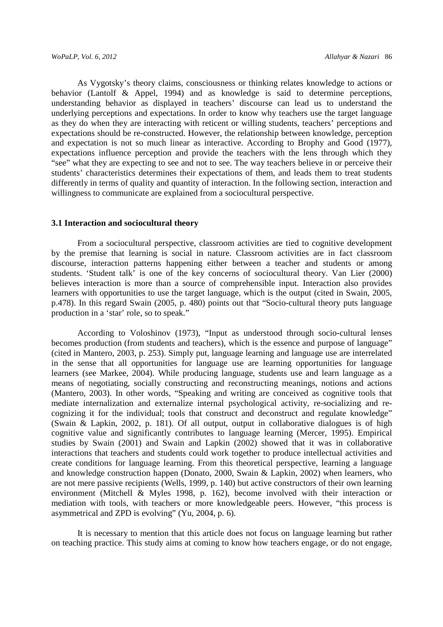As Vygotsky's theory claims, consciousness or thinking relates knowledge to actions or behavior (Lantolf & Appel, 1994) and as knowledge is said to determine perceptions, understanding behavior as displayed in teachers' discourse can lead us to understand the underlying perceptions and expectations. In order to know why teachers use the target language as they do when they are interacting with reticent or willing students, teachers' perceptions and expectations should be re-constructed. However, the relationship between knowledge, perception and expectation is not so much linear as interactive. According to Brophy and Good (1977), expectations influence perception and provide the teachers with the lens through which they "see" what they are expecting to see and not to see. The way teachers believe in or perceive their students' characteristics determines their expectations of them, and leads them to treat students differently in terms of quality and quantity of interaction. In the following section, interaction and willingness to communicate are explained from a sociocultural perspective.

### **3.1 Interaction and sociocultural theory**

From a sociocultural perspective, classroom activities are tied to cognitive development by the premise that learning is social in nature. Classroom activities are in fact classroom discourse, interaction patterns happening either between a teacher and students or among students. 'Student talk' is one of the key concerns of sociocultural theory. Van Lier (2000) believes interaction is more than a source of comprehensible input. Interaction also provides learners with opportunities to use the target language, which is the output (cited in Swain, 2005, p.478). In this regard Swain (2005, p. 480) points out that "Socio-cultural theory puts language production in a 'star' role, so to speak."

According to Voloshinov (1973), "Input as understood through socio-cultural lenses becomes production (from students and teachers), which is the essence and purpose of language" (cited in Mantero, 2003, p. 253). Simply put, language learning and language use are interrelated in the sense that all opportunities for language use are learning opportunities for language learners (see Markee, 2004). While producing language, students use and learn language as a means of negotiating, socially constructing and reconstructing meanings, notions and actions (Mantero, 2003). In other words, "Speaking and writing are conceived as cognitive tools that mediate internalization and externalize internal psychological activity, re-socializing and recognizing it for the individual; tools that construct and deconstruct and regulate knowledge" (Swain & Lapkin, 2002, p. 181). Of all output, output in collaborative dialogues is of high cognitive value and significantly contributes to language learning (Mercer, 1995). Empirical studies by Swain (2001) and Swain and Lapkin (2002) showed that it was in collaborative interactions that teachers and students could work together to produce intellectual activities and create conditions for language learning. From this theoretical perspective, learning a language and knowledge construction happen (Donato, 2000, Swain & Lapkin, 2002) when learners, who are not mere passive recipients (Wells, 1999, p. 140) but active constructors of their own learning environment (Mitchell & Myles 1998, p. 162), become involved with their interaction or mediation with tools, with teachers or more knowledgeable peers. However, "this process is asymmetrical and ZPD is evolving" (Yu, 2004, p. 6).

It is necessary to mention that this article does not focus on language learning but rather on teaching practice. This study aims at coming to know how teachers engage, or do not engage,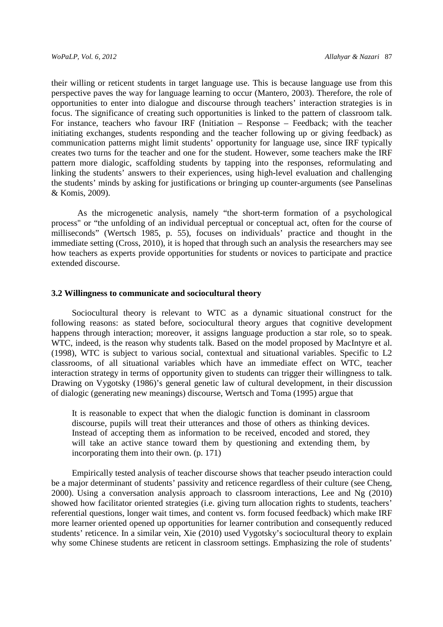their willing or reticent students in target language use. This is because language use from this perspective paves the way for language learning to occur (Mantero, 2003). Therefore, the role of opportunities to enter into dialogue and discourse through teachers' interaction strategies is in focus. The significance of creating such opportunities is linked to the pattern of classroom talk. For instance, teachers who favour IRF (Initiation – Response – Feedback; with the teacher initiating exchanges, students responding and the teacher following up or giving feedback) as communication patterns might limit students' opportunity for language use, since IRF typically creates two turns for the teacher and one for the student. However, some teachers make the IRF pattern more dialogic, scaffolding students by tapping into the responses, reformulating and linking the students' answers to their experiences, using high-level evaluation and challenging the students' minds by asking for justifications or bringing up counter-arguments (see Panselinas & Komis, 2009).

As the microgenetic analysis, namely "the short-term formation of a psychological process" or "the unfolding of an individual perceptual or conceptual act, often for the course of milliseconds" (Wertsch 1985, p. 55), focuses on individuals' practice and thought in the immediate setting (Cross, 2010), it is hoped that through such an analysis the researchers may see how teachers as experts provide opportunities for students or novices to participate and practice extended discourse.

### **3.2 Willingness to communicate and sociocultural theory**

Sociocultural theory is relevant to WTC as a dynamic situational construct for the following reasons: as stated before, sociocultural theory argues that cognitive development happens through interaction; moreover, it assigns language production a star role, so to speak. WTC, indeed, is the reason why students talk. Based on the model proposed by MacIntyre et al. (1998), WTC is subject to various social, contextual and situational variables. Specific to L2 classrooms, of all situational variables which have an immediate effect on WTC, teacher interaction strategy in terms of opportunity given to students can trigger their willingness to talk. Drawing on Vygotsky (1986)'s general genetic law of cultural development, in their discussion of dialogic (generating new meanings) discourse, Wertsch and Toma (1995) argue that

 It is reasonable to expect that when the dialogic function is dominant in classroom discourse, pupils will treat their utterances and those of others as thinking devices. Instead of accepting them as information to be received, encoded and stored, they will take an active stance toward them by questioning and extending them, by incorporating them into their own. (p. 171)

Empirically tested analysis of teacher discourse shows that teacher pseudo interaction could be a major determinant of students' passivity and reticence regardless of their culture (see Cheng, 2000). Using a conversation analysis approach to classroom interactions, Lee and Ng (2010) showed how facilitator oriented strategies (i.e. giving turn allocation rights to students, teachers' referential questions, longer wait times, and content vs. form focused feedback) which make IRF more learner oriented opened up opportunities for learner contribution and consequently reduced students' reticence. In a similar vein, Xie (2010) used Vygotsky's sociocultural theory to explain why some Chinese students are reticent in classroom settings. Emphasizing the role of students'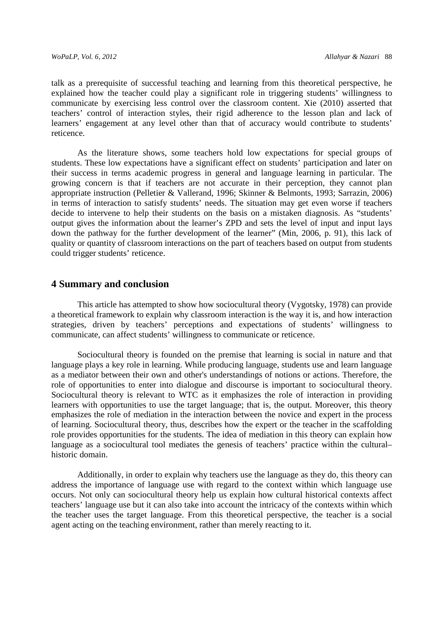talk as a prerequisite of successful teaching and learning from this theoretical perspective, he explained how the teacher could play a significant role in triggering students' willingness to communicate by exercising less control over the classroom content. Xie (2010) asserted that teachers' control of interaction styles, their rigid adherence to the lesson plan and lack of learners' engagement at any level other than that of accuracy would contribute to students' reticence.

 As the literature shows, some teachers hold low expectations for special groups of students. These low expectations have a significant effect on students' participation and later on their success in terms academic progress in general and language learning in particular. The growing concern is that if teachers are not accurate in their perception, they cannot plan appropriate instruction (Pelletier & Vallerand, 1996; Skinner & Belmonts, 1993; Sarrazin, 2006) in terms of interaction to satisfy students' needs. The situation may get even worse if teachers decide to intervene to help their students on the basis on a mistaken diagnosis. As "students' output gives the information about the learner's ZPD and sets the level of input and input lays down the pathway for the further development of the learner" (Min, 2006, p. 91), this lack of quality or quantity of classroom interactions on the part of teachers based on output from students could trigger students' reticence.

# **4 Summary and conclusion**

This article has attempted to show how sociocultural theory (Vygotsky, 1978) can provide a theoretical framework to explain why classroom interaction is the way it is, and how interaction strategies, driven by teachers' perceptions and expectations of students' willingness to communicate, can affect students' willingness to communicate or reticence.

 Sociocultural theory is founded on the premise that learning is social in nature and that language plays a key role in learning. While producing language, students use and learn language as a mediator between their own and other's understandings of notions or actions. Therefore, the role of opportunities to enter into dialogue and discourse is important to sociocultural theory. Sociocultural theory is relevant to WTC as it emphasizes the role of interaction in providing learners with opportunities to use the target language; that is, the output. Moreover, this theory emphasizes the role of mediation in the interaction between the novice and expert in the process of learning. Sociocultural theory, thus, describes how the expert or the teacher in the scaffolding role provides opportunities for the students. The idea of mediation in this theory can explain how language as a sociocultural tool mediates the genesis of teachers' practice within the cultural– historic domain.

Additionally, in order to explain why teachers use the language as they do, this theory can address the importance of language use with regard to the context within which language use occurs. Not only can sociocultural theory help us explain how cultural historical contexts affect teachers' language use but it can also take into account the intricacy of the contexts within which the teacher uses the target language. From this theoretical perspective, the teacher is a social agent acting on the teaching environment, rather than merely reacting to it.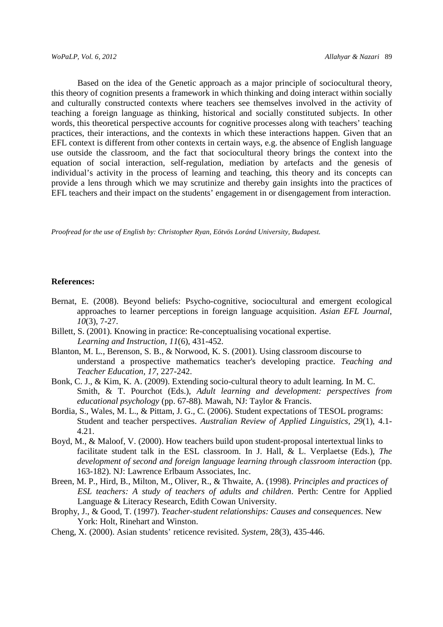Based on the idea of the Genetic approach as a major principle of sociocultural theory, this theory of cognition presents a framework in which thinking and doing interact within socially and culturally constructed contexts where teachers see themselves involved in the activity of teaching a foreign language as thinking, historical and socially constituted subjects. In other words, this theoretical perspective accounts for cognitive processes along with teachers' teaching practices, their interactions, and the contexts in which these interactions happen. Given that an EFL context is different from other contexts in certain ways, e.g. the absence of English language use outside the classroom, and the fact that sociocultural theory brings the context into the equation of social interaction, self-regulation, mediation by artefacts and the genesis of individual's activity in the process of learning and teaching, this theory and its concepts can provide a lens through which we may scrutinize and thereby gain insights into the practices of EFL teachers and their impact on the students' engagement in or disengagement from interaction.

*Proofread for the use of English by: Christopher Ryan, Eötvös Loránd University, Budapest.*

## **References:**

- Bernat, E. (2008). Beyond beliefs: Psycho-cognitive, sociocultural and emergent ecological approaches to learner perceptions in foreign language acquisition. *Asian EFL Journal*, *10*(3), 7-27.
- Billett, S. (2001). Knowing in practice: Re-conceptualising vocational expertise. *Learning and Instruction*, *11*(6), 431-452.
- Blanton, M. L., Berenson, S. B., & Norwood, K. S. (2001). Using classroom discourse to understand a prospective mathematics teacher's developing practice. *Teaching and Teacher Education, 17*, 227-242.
- Bonk, C. J., & Kim, K. A. (2009). Extending socio-cultural theory to adult learning. In M. C. Smith, & T. Pourchot (Eds.), *Adult learning and development: perspectives from educational psychology* (pp. 67-88)*.* Mawah, NJ: Taylor & Francis.
- Bordia, S., Wales, M. L., & Pittam, J. G., C. (2006). Student expectations of TESOL programs: Student and teacher perspectives. *Australian Review of Applied Linguistics, 29*(1), 4.1- 4.21.
- Boyd, M., & Maloof, V. (2000). How teachers build upon student-proposal intertextual links to facilitate student talk in the ESL classroom. In J. Hall, & L. Verplaetse (Eds.), *The development of second and foreign language learning through classroom interaction* (pp. 163-182). NJ: Lawrence Erlbaum Associates, Inc.
- Breen, M. P., Hird, B., Milton, M., Oliver, R., & Thwaite, A. (1998). *Principles and practices of ESL teachers: A study of teachers of adults and children*. Perth: Centre for Applied Language & Literacy Research, Edith Cowan University.
- Brophy, J., & Good, T. (1997). *Teacher-student relationships: Causes and* c*onsequences*. New York: Holt, Rinehart and Winston.
- Cheng, X. (2000). Asian students' reticence revisited. *System*, 28(3), 435‐446.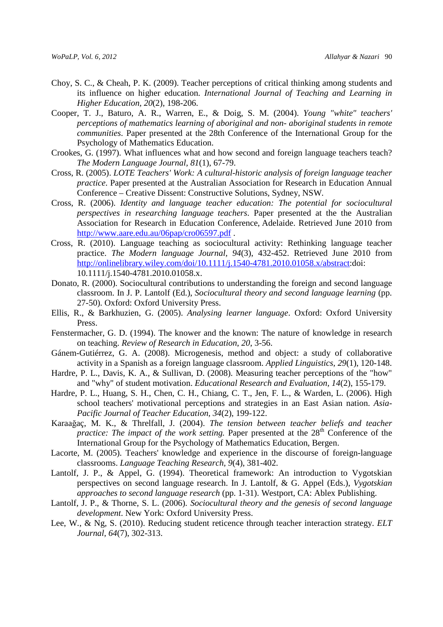- Choy, S. C., & Cheah, P. K. (2009). Teacher perceptions of critical thinking among students and its influence on higher education. *International Journal of Teaching and Learning in Higher Education, 20*(2), 198-206.
- Cooper, T. J., Baturo, A. R., Warren, E., & Doig, S. M. (2004). *Young "white" teachers' perceptions of mathematics learning of aboriginal and non- aboriginal students in remote communities*. Paper presented at the 28th Conference of the International Group for the Psychology of Mathematics Education.
- Crookes, G. (1997). What influences what and how second and foreign language teachers teach? *The Modern Language Journal, 81*(1), 67-79.
- Cross, R. (2005). *LOTE Teachers' Work: A cultural-historic analysis of foreign language teacher practice*. Paper presented at the Australian Association for Research in Education Annual Conference – Creative Dissent: Constructive Solutions, Sydney, NSW.
- Cross, R. (2006). *Identity and language teacher education: The potential for sociocultural perspectives in researching language teachers*. Paper presented at the the Australian Association for Research in Education Conference, Adelaide. Retrieved June 2010 from http://www.aare.edu.au/06pap/cro06597.pdf .
- Cross, R. (2010). Language teaching as sociocultural activity: Rethinking language teacher practice. *The Modern language Journal, 94*(3), 432-452. Retrieved June 2010 from http://onlinelibrary.wiley.com/doi/10.1111/j.1540-4781.2010.01058.x/abstract:doi: 10.1111/j.1540-4781.2010.01058.x.
- Donato, R. (2000). Sociocultural contributions to understanding the foreign and second language classroom. In J. P. Lantolf (Ed.), *Sociocultural theory and second language learning* (pp. 27-50). Oxford: Oxford University Press.
- Ellis, R., & Barkhuzien, G. (2005). *Analysing learner language*. Oxford: Oxford University Press.
- Fenstermacher, G. D. (1994). The knower and the known: The nature of knowledge in research on teaching. *Review of Research in Education*, *20*, 3-56.
- Gánem-Gutiérrez, G. A. (2008). Microgenesis, method and object: a study of collaborative activity in a Spanish as a foreign language classroom. *Applied Linguistics, 29*(1), 120-148.
- Hardre, P. L., Davis, K. A., & Sullivan, D. (2008). Measuring teacher perceptions of the "how" and "why" of student motivation. *Educational Research and Evaluation, 14*(2), 155-179.
- Hardre, P. L., Huang, S. H., Chen, C. H., Chiang, C. T., Jen, F. L., & Warden, L. (2006). High school teachers' motivational perceptions and strategies in an East Asian nation. *Asia-Pacific Journal of Teacher Education, 34*(2), 199-122.
- Karaağaç, M. K., & Threlfall, J. (2004). *The tension between teacher beliefs and teacher practice: The impact of the work setting.* Paper presented at the 28<sup>th</sup> Conference of the International Group for the Psychology of Mathematics Education, Bergen.
- Lacorte, M. (2005). Teachers' knowledge and experience in the discourse of foreign-language classrooms. *Language Teaching Research, 9*(4), 381-402.
- Lantolf, J. P., & Appel, G. (1994). Theoretical framework: An introduction to Vygotskian perspectives on second language research. In J. Lantolf, & G. Appel (Eds.), *Vygotskian approaches to second language research* (pp. 1-31). Westport, CA: Ablex Publishing.
- Lantolf, J. P., & Thorne, S. L. (2006). *Sociocultural theory and the genesis of second language development*. New York: Oxford University Press.
- Lee, W., & Ng, S. (2010). Reducing student reticence through teacher interaction strategy. *ELT Journal, 64*(7), 302-313.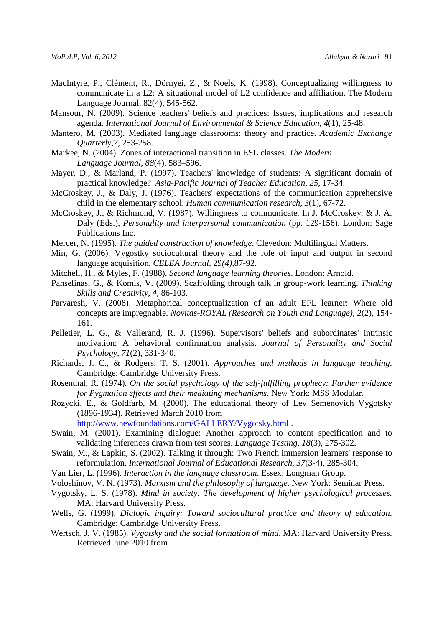- MacIntyre, P., Clément, R., Dörnyei, Z., & Noels, K. (1998). Conceptualizing willingness to communicate in a L2: A situational model of L2 confidence and affiliation. The Modern Language Journal, 82(4), 545-562.
- Mansour, N. (2009). Science teachers' beliefs and practices: Issues, implications and research agenda. *International Journal of Environmental & Science Education, 4*(1), 25-48.
- Mantero, M. (2003). Mediated language classrooms: theory and practice. *Academic Exchange Quarterly,7*, 253-258.
- Markee, N. (2004). Zones of interactional transition in ESL classes. *The Modern Language Journal*, *88*(4), 583–596.
- Mayer, D., & Marland, P. (1997). Teachers' knowledge of students: A significant domain of practical knowledge? *Asia-Pacific Journal of Teacher Education, 25*, 17-34.
- McCroskey, J., & Daly, J. (1976). Teachers' expectations of the communication apprehensive child in the elementary school. *Human communication research, 3*(1), 67-72.
- McCroskey, J., & Richmond, V. (1987). Willingness to communicate. In J. McCroskey, & J. A. Daly (Eds.), *Personality and interpersonal communication* (pp. 129-156). London: Sage Publications Inc.
- Mercer, N. (1995). *The guided construction of knowledge*. Clevedon: Multilingual Matters.
- Min, G. (2006). Vygostky sociocultural theory and the role of input and output in second language acquisition. *CELEA Journal,* 29*(4),*87-92.
- Mitchell, H., & Myles, F. (1988). *Second language learning theories*. London: Arnold.
- Panselinas, G., & Komis, V. (2009). Scaffolding through talk in group-work learning. *Thinking Skills and Creativity*, *4*, 86-103.
- Parvaresh, V. (2008). Metaphorical conceptualization of an adult EFL learner: Where old concepts are impregnable. *Novitas-ROYAL (Research on Youth and Language), 2*(2), 154- 161.
- Pelletier, L. G., & Vallerand, R. J. (1996). Supervisors' beliefs and subordinates' intrinsic motivation: A behavioral confirmation analysis. *Journal of Personality and Social Psychology*, *71*(2), 331-340.
- Richards, J. C., & Rodgers, T. S. (2001). *Approaches and methods in language teaching*. Cambridge: Cambridge University Press.
- Rosenthal, R. (1974). *On the social psychology of the self-fulfilling prophecy: Further evidence for Pygmalion effects and their mediating mechanisms*. New York: MSS Modular.
- Rozycki, E., & Goldfarb, M. (2000). The educational theory of Lev Semenovich Vygotsky (1896-1934). Retrieved March 2010 from

http://www.newfoundations.com/GALLERY/Vygotsky.html .

- Swain, M. (2001). Examining dialogue: Another approach to content specification and to validating inferences drawn from test scores. *Language Testing, 18*(3), 275-302.
- Swain, M., & Lapkin, S. (2002). Talking it through: Two French immersion learners' response to reformulation. *International Journal of Educational Research, 37*(3*-*4), 285-304.
- Van Lier, L. (1996). *Interaction in the language classroom*. Essex: Longman Group.
- Voloshinov, V. N. (1973). *Marxism and the philosophy of language*. New York: Seminar Press.
- Vygotsky, L. S. (1978). *Mind in society: The development of higher psychological processes*. MA: Harvard University Press.
- Wells, G. (1999). *Dialogic inquiry: Toward sociocultural practice and theory of education*. Cambridge: Cambridge University Press.
- Wertsch, J. V. (1985). *Vygotsky and the social formation of mind*. MA: Harvard University Press. Retrieved June 2010 from